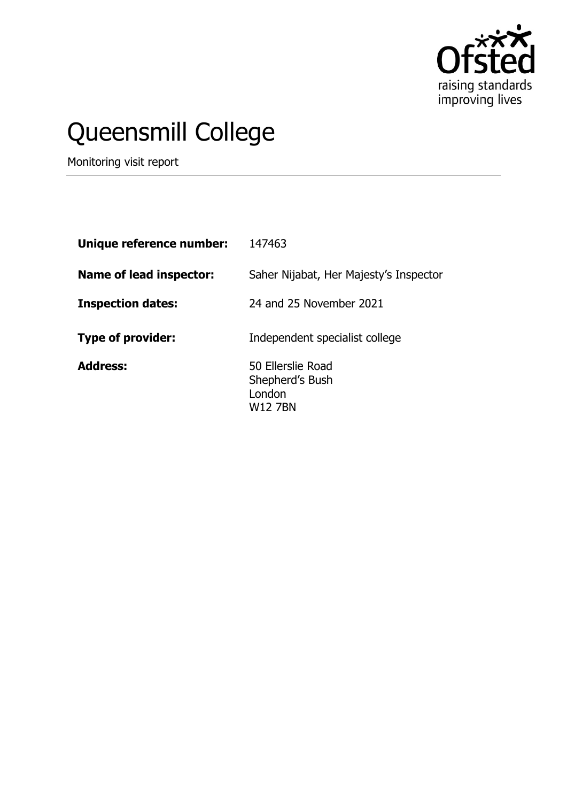

# Queensmill College

Monitoring visit report

| Unique reference number:       | 147463                                                    |
|--------------------------------|-----------------------------------------------------------|
| <b>Name of lead inspector:</b> | Saher Nijabat, Her Majesty's Inspector                    |
| <b>Inspection dates:</b>       | 24 and 25 November 2021                                   |
| <b>Type of provider:</b>       | Independent specialist college                            |
| <b>Address:</b>                | 50 Ellerslie Road<br>Shepherd's Bush<br>London<br>W12 7BN |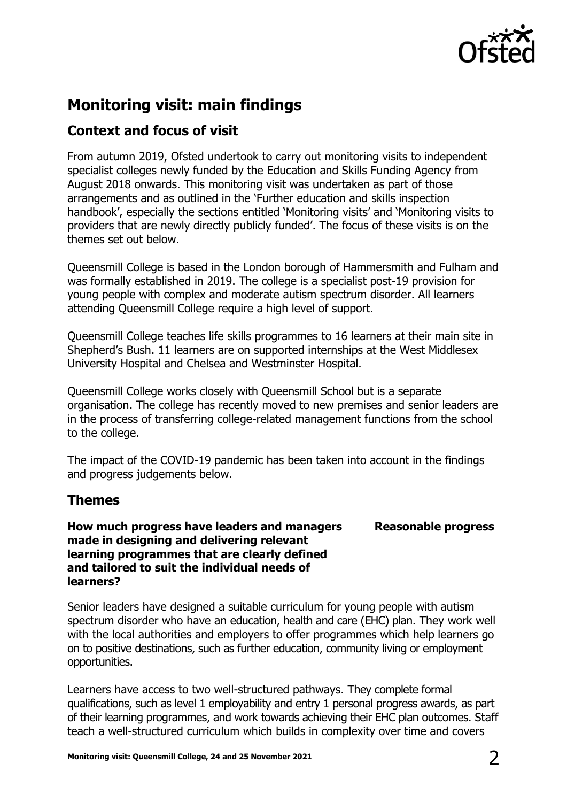

## **Monitoring visit: main findings**

### **Context and focus of visit**

From autumn 2019, Ofsted undertook to carry out monitoring visits to independent specialist colleges newly funded by the Education and Skills Funding Agency from August 2018 onwards. This monitoring visit was undertaken as part of those arrangements and as outlined in the 'Further education and skills inspection handbook', especially the sections entitled 'Monitoring visits' and 'Monitoring visits to providers that are newly directly publicly funded'. The focus of these visits is on the themes set out below.

Queensmill College is based in the London borough of Hammersmith and Fulham and was formally established in 2019. The college is a specialist post-19 provision for young people with complex and moderate autism spectrum disorder. All learners attending Queensmill College require a high level of support.

Queensmill College teaches life skills programmes to 16 learners at their main site in Shepherd's Bush. 11 learners are on supported internships at the West Middlesex University Hospital and Chelsea and Westminster Hospital.

Queensmill College works closely with Queensmill School but is a separate organisation. The college has recently moved to new premises and senior leaders are in the process of transferring college-related management functions from the school to the college.

The impact of the COVID-19 pandemic has been taken into account in the findings and progress judgements below.

#### **Themes**

**How much progress have leaders and managers made in designing and delivering relevant learning programmes that are clearly defined and tailored to suit the individual needs of learners?**

**Reasonable progress**

Senior leaders have designed a suitable curriculum for young people with autism spectrum disorder who have an education, health and care (EHC) plan. They work well with the local authorities and employers to offer programmes which help learners go on to positive destinations, such as further education, community living or employment opportunities.

Learners have access to two well-structured pathways. They complete formal qualifications, such as level 1 employability and entry 1 personal progress awards, as part of their learning programmes, and work towards achieving their EHC plan outcomes. Staff teach a well-structured curriculum which builds in complexity over time and covers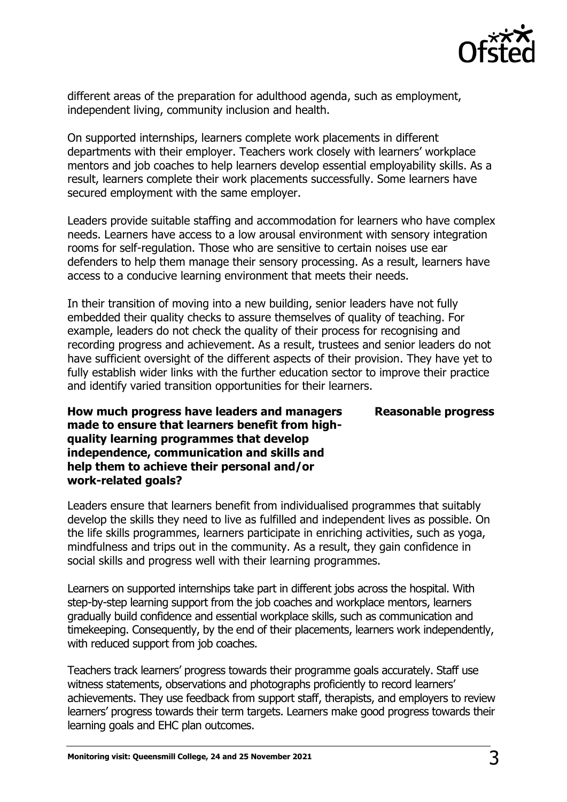

different areas of the preparation for adulthood agenda, such as employment, independent living, community inclusion and health.

On supported internships, learners complete work placements in different departments with their employer. Teachers work closely with learners' workplace mentors and job coaches to help learners develop essential employability skills. As a result, learners complete their work placements successfully. Some learners have secured employment with the same employer.

Leaders provide suitable staffing and accommodation for learners who have complex needs. Learners have access to a low arousal environment with sensory integration rooms for self-regulation. Those who are sensitive to certain noises use ear defenders to help them manage their sensory processing. As a result, learners have access to a conducive learning environment that meets their needs.

In their transition of moving into a new building, senior leaders have not fully embedded their quality checks to assure themselves of quality of teaching. For example, leaders do not check the quality of their process for recognising and recording progress and achievement. As a result, trustees and senior leaders do not have sufficient oversight of the different aspects of their provision. They have yet to fully establish wider links with the further education sector to improve their practice and identify varied transition opportunities for their learners.

**How much progress have leaders and managers made to ensure that learners benefit from highquality learning programmes that develop independence, communication and skills and help them to achieve their personal and/or work-related goals?**

Leaders ensure that learners benefit from individualised programmes that suitably develop the skills they need to live as fulfilled and independent lives as possible. On the life skills programmes, learners participate in enriching activities, such as yoga, mindfulness and trips out in the community. As a result, they gain confidence in social skills and progress well with their learning programmes.

Learners on supported internships take part in different jobs across the hospital. With step-by-step learning support from the job coaches and workplace mentors, learners gradually build confidence and essential workplace skills, such as communication and timekeeping. Consequently, by the end of their placements, learners work independently, with reduced support from job coaches.

Teachers track learners' progress towards their programme goals accurately. Staff use witness statements, observations and photographs proficiently to record learners' achievements. They use feedback from support staff, therapists, and employers to review learners' progress towards their term targets. Learners make good progress towards their learning goals and EHC plan outcomes.

**Reasonable progress**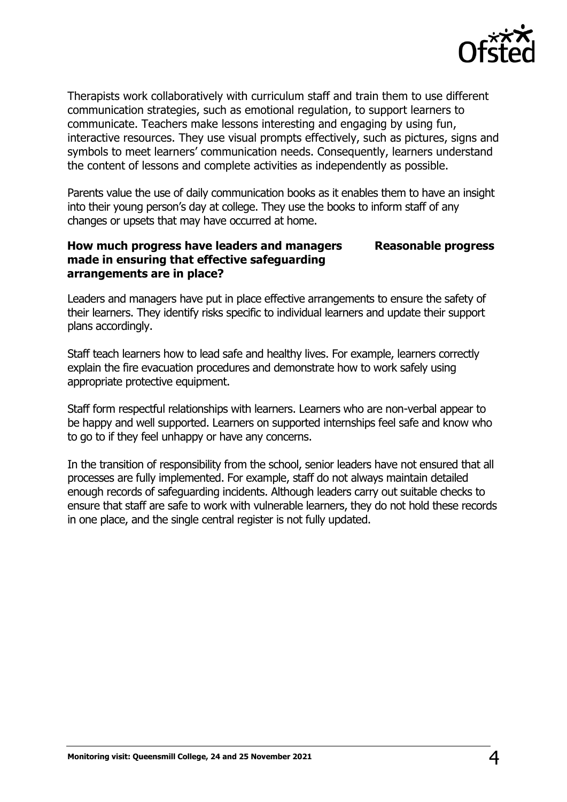

Therapists work collaboratively with curriculum staff and train them to use different communication strategies, such as emotional regulation, to support learners to communicate. Teachers make lessons interesting and engaging by using fun, interactive resources. They use visual prompts effectively, such as pictures, signs and symbols to meet learners' communication needs. Consequently, learners understand the content of lessons and complete activities as independently as possible.

Parents value the use of daily communication books as it enables them to have an insight into their young person's day at college. They use the books to inform staff of any changes or upsets that may have occurred at home.

#### **How much progress have leaders and managers made in ensuring that effective safeguarding arrangements are in place? Reasonable progress**

Leaders and managers have put in place effective arrangements to ensure the safety of their learners. They identify risks specific to individual learners and update their support plans accordingly.

Staff teach learners how to lead safe and healthy lives. For example, learners correctly explain the fire evacuation procedures and demonstrate how to work safely using appropriate protective equipment.

Staff form respectful relationships with learners. Learners who are non-verbal appear to be happy and well supported. Learners on supported internships feel safe and know who to go to if they feel unhappy or have any concerns.

In the transition of responsibility from the school, senior leaders have not ensured that all processes are fully implemented. For example, staff do not always maintain detailed enough records of safeguarding incidents. Although leaders carry out suitable checks to ensure that staff are safe to work with vulnerable learners, they do not hold these records in one place, and the single central register is not fully updated.